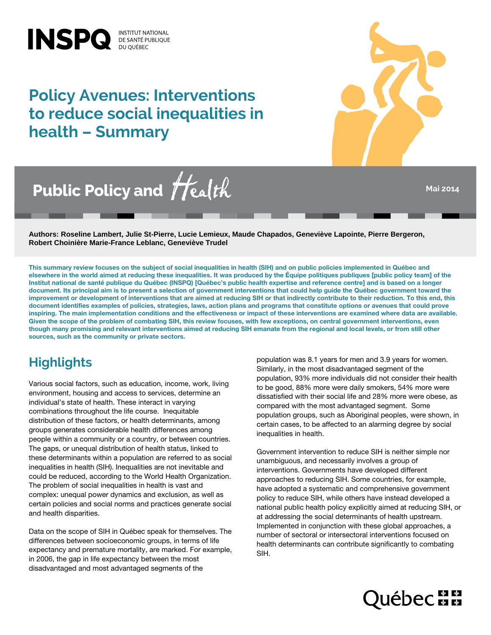# **Policy Avenues: Interventions to reduce social inequalities in health – Summary**

INSPQ **DE SANTÉ PUBLIQUE** 



Public Policy and Health

**Mai 2014**

**Authors: Roseline Lambert, Julie St-Pierre, Lucie Lemieux, Maude Chapados, Geneviève Lapointe, Pierre Bergeron, Robert Choinière Marie-France Leblanc, Geneviève Trudel**

This summary review focuses on the subject of social inequalities in health (SIH) and on public policies implemented in Québec and elsewhere in the world aimed at reducing these inequalities. It was produced by the Équipe politiques publiques [public policy team] of the Institut national de santé publique du Québec (INSPQ) [Québec's public health expertise and reference centre] and is based on a longer document. Its principal aim is to present a selection of government interventions that could help guide the Québec government toward the improvement or development of interventions that are aimed at reducing SIH or that indirectly contribute to their reduction. To this end, this document identifies examples of policies, strategies, laws, action plans and programs that constitute options or avenues that could prove inspiring. The main implementation conditions and the effectiveness or impact of these interventions are examined where data are available. Given the scope of the problem of combating SIH, this review focuses, with few exceptions, on central government interventions, even though many promising and relevant interventions aimed at reducing SIH emanate from the regional and local levels, or from still other sources, such as the community or private sectors.

## **Highlights**

Various social factors, such as education, income, work, living environment, housing and access to services, determine an individual's state of health. These interact in varying combinations throughout the life course. Inequitable distribution of these factors, or health determinants, among groups generates considerable health differences among people within a community or a country, or between countries. The gaps, or unequal distribution of health status, linked to these determinants within a population are referred to as social inequalities in health (SIH). Inequalities are not inevitable and could be reduced, according to the World Health Organization. The problem of social inequalities in health is vast and complex: unequal power dynamics and exclusion, as well as certain policies and social norms and practices generate social and health disparities.

Data on the scope of SIH in Québec speak for themselves. The differences between socioeconomic groups, in terms of life expectancy and premature mortality, are marked. For example, in 2006, the gap in life expectancy between the most disadvantaged and most advantaged segments of the

population was 8.1 years for men and 3.9 years for women. Similarly, in the most disadvantaged segment of the population, 93% more individuals did not consider their health to be good, 88% more were daily smokers, 54% more were dissatisfied with their social life and 28% more were obese, as compared with the most advantaged segment. Some population groups, such as Aboriginal peoples, were shown, in certain cases, to be affected to an alarming degree by social inequalities in health.

Government intervention to reduce SIH is neither simple nor unambiguous, and necessarily involves a group of interventions. Governments have developed different approaches to reducing SIH. Some countries, for example, have adopted a systematic and comprehensive government policy to reduce SIH, while others have instead developed a national public health policy explicitly aimed at reducing SIH, or at addressing the social determinants of health upstream. Implemented in conjunction with these global approaches, a number of sectoral or intersectoral interventions focused on health determinants can contribute significantly to combating SIH.

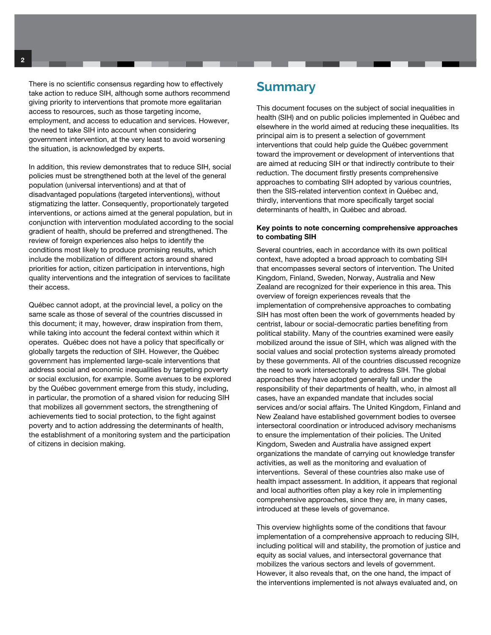There is no scientific consensus regarding how to effectively take action to reduce SIH, although some authors recommend giving priority to interventions that promote more egalitarian access to resources, such as those targeting income, employment, and access to education and services. However, the need to take SIH into account when considering government intervention, at the very least to avoid worsening the situation, is acknowledged by experts.

In addition, this review demonstrates that to reduce SIH, social policies must be strengthened both at the level of the general population (universal interventions) and at that of disadvantaged populations (targeted interventions), without stigmatizing the latter. Consequently, proportionately targeted interventions, or actions aimed at the general population, but in conjunction with intervention modulated according to the social gradient of health, should be preferred and strengthened. The review of foreign experiences also helps to identify the conditions most likely to produce promising results, which include the mobilization of different actors around shared priorities for action, citizen participation in interventions, high quality interventions and the integration of services to facilitate their access.

Québec cannot adopt, at the provincial level, a policy on the same scale as those of several of the countries discussed in this document; it may, however, draw inspiration from them, while taking into account the federal context within which it operates. Québec does not have a policy that specifically or globally targets the reduction of SIH. However, the Québec government has implemented large-scale interventions that address social and economic inequalities by targeting poverty or social exclusion, for example. Some avenues to be explored by the Québec government emerge from this study, including, in particular, the promotion of a shared vision for reducing SIH that mobilizes all government sectors, the strengthening of achievements tied to social protection, to the fight against poverty and to action addressing the determinants of health, the establishment of a monitoring system and the participation of citizens in decision making.

### **Summary**

This document focuses on the subject of social inequalities in health (SIH) and on public policies implemented in Québec and elsewhere in the world aimed at reducing these inequalities. Its principal aim is to present a selection of government interventions that could help guide the Québec government toward the improvement or development of interventions that are aimed at reducing SIH or that indirectly contribute to their reduction. The document firstly presents comprehensive approaches to combating SIH adopted by various countries, then the SIS-related intervention context in Québec and, thirdly, interventions that more specifically target social determinants of health, in Québec and abroad.

#### Key points to note concerning comprehensive approaches to combating SIH

Several countries, each in accordance with its own political context, have adopted a broad approach to combating SIH that encompasses several sectors of intervention. The United Kingdom, Finland, Sweden, Norway, Australia and New Zealand are recognized for their experience in this area. This overview of foreign experiences reveals that the implementation of comprehensive approaches to combating SIH has most often been the work of governments headed by centrist, labour or social-democratic parties benefiting from political stability. Many of the countries examined were easily mobilized around the issue of SIH, which was aligned with the social values and social protection systems already promoted by these governments. All of the countries discussed recognize the need to work intersectorally to address SIH. The global approaches they have adopted generally fall under the responsibility of their departments of health, who, in almost all cases, have an expanded mandate that includes social services and/or social affairs. The United Kingdom, Finland and New Zealand have established government bodies to oversee intersectoral coordination or introduced advisory mechanisms to ensure the implementation of their policies. The United Kingdom, Sweden and Australia have assigned expert organizations the mandate of carrying out knowledge transfer activities, as well as the monitoring and evaluation of interventions. Several of these countries also make use of health impact assessment. In addition, it appears that regional and local authorities often play a key role in implementing comprehensive approaches, since they are, in many cases, introduced at these levels of governance.

This overview highlights some of the conditions that favour implementation of a comprehensive approach to reducing SIH, including political will and stability, the promotion of justice and equity as social values, and intersectoral governance that mobilizes the various sectors and levels of government. However, it also reveals that, on the one hand, the impact of the interventions implemented is not always evaluated and, on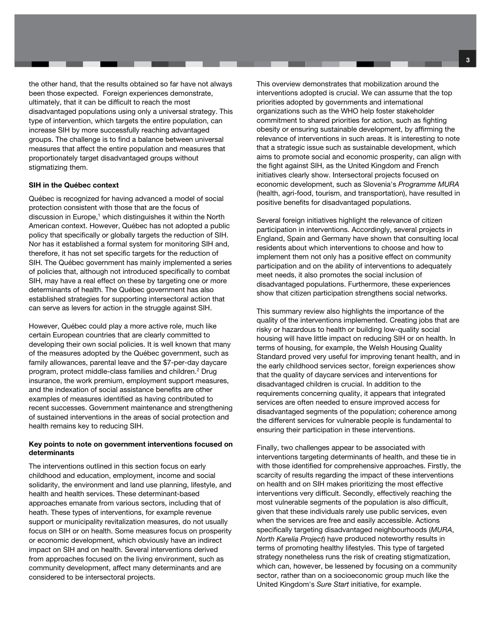the other hand, that the results obtained so far have not always been those expected. Foreign experiences demonstrate, ultimately, that it can be difficult to reach the most disadvantaged populations using only a universal strategy. This type of intervention, which targets the entire population, can increase SIH by more successfully reaching advantaged groups. The challenge is to find a balance between universal measures that affect the entire population and measures that proportionately target disadvantaged groups without stigmatizing them.

#### SIH in the Québec context

Québec is recognized for having advanced a model of social protection consistent with those that are the focus of discussion in Europe,<sup>1</sup> which distinguishes it within the North American context. However, Québec has not adopted a public policy that specifically or globally targets the reduction of SIH. Nor has it established a formal system for monitoring SIH and, therefore, it has not set specific targets for the reduction of SIH. The Québec government has mainly implemented a series of policies that, although not introduced specifically to combat SIH, may have a real effect on these by targeting one or more determinants of health. The Québec government has also established strategies for supporting intersectoral action that can serve as levers for action in the struggle against SIH.

However, Québec could play a more active role, much like certain European countries that are clearly committed to developing their own social policies. It is well known that many of the measures adopted by the Québec government, such as family allowances, parental leave and the \$7-per-day daycare program, protect middle-class families and children.2 Drug insurance, the work premium, employment support measures, and the indexation of social assistance benefits are other examples of measures identified as having contributed to recent successes. Government maintenance and strengthening of sustained interventions in the areas of social protection and health remains key to reducing SIH.

#### Key points to note on government interventions focused on determinants

The interventions outlined in this section focus on early childhood and education, employment, income and social solidarity, the environment and land use planning, lifestyle, and health and health services. These determinant-based approaches emanate from various sectors, including that of heath. These types of interventions, for example revenue support or municipality revitalization measures, do not usually focus on SIH or on health. Some measures focus on prosperity or economic development, which obviously have an indirect impact on SIH and on health. Several interventions derived from approaches focused on the living environment, such as community development, affect many determinants and are considered to be intersectoral projects.

This overview demonstrates that mobilization around the interventions adopted is crucial. We can assume that the top priorities adopted by governments and international organizations such as the WHO help foster stakeholder commitment to shared priorities for action, such as fighting obesity or ensuring sustainable development, by affirming the relevance of interventions in such areas. It is interesting to note that a strategic issue such as sustainable development, which aims to promote social and economic prosperity, can align with the fight against SIH, as the United Kingdom and French initiatives clearly show. Intersectoral projects focused on economic development, such as Slovenia's Programme MURA (health, agri-food, tourism, and transportation), have resulted in positive benefits for disadvantaged populations.

Several foreign initiatives highlight the relevance of citizen participation in interventions. Accordingly, several projects in England, Spain and Germany have shown that consulting local residents about which interventions to choose and how to implement them not only has a positive effect on community participation and on the ability of interventions to adequately meet needs, it also promotes the social inclusion of disadvantaged populations. Furthermore, these experiences show that citizen participation strengthens social networks.

This summary review also highlights the importance of the quality of the interventions implemented. Creating jobs that are risky or hazardous to health or building low-quality social housing will have little impact on reducing SIH or on health. In terms of housing, for example, the Welsh Housing Quality Standard proved very useful for improving tenant health, and in the early childhood services sector, foreign experiences show that the quality of daycare services and interventions for disadvantaged children is crucial. In addition to the requirements concerning quality, it appears that integrated services are often needed to ensure improved access for disadvantaged segments of the population; coherence among the different services for vulnerable people is fundamental to ensuring their participation in these interventions.

Finally, two challenges appear to be associated with interventions targeting determinants of health, and these tie in with those identified for comprehensive approaches. Firstly, the scarcity of results regarding the impact of these interventions on health and on SIH makes prioritizing the most effective interventions very difficult. Secondly, effectively reaching the most vulnerable segments of the population is also difficult, given that these individuals rarely use public services, even when the services are free and easily accessible. Actions specifically targeting disadvantaged neighbourhoods (MURA, North Karelia Project) have produced noteworthy results in terms of promoting healthy lifestyles. This type of targeted strategy nonetheless runs the risk of creating stigmatization, which can, however, be lessened by focusing on a community sector, rather than on a socioeconomic group much like the United Kingdom's Sure Start initiative, for example.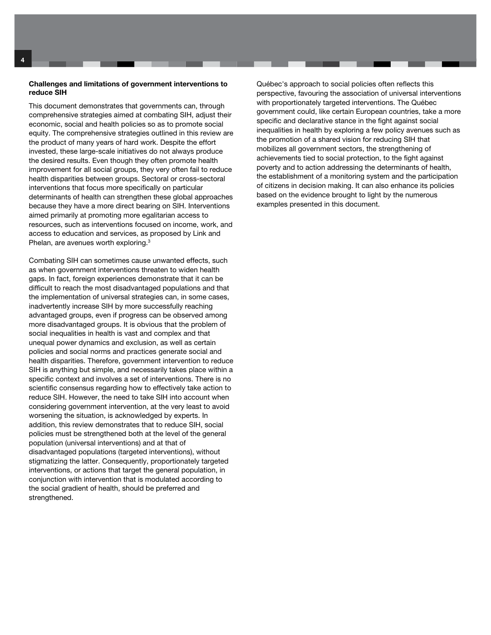#### Challenges and limitations of government interventions to reduce SIH

This document demonstrates that governments can, through comprehensive strategies aimed at combating SIH, adjust their economic, social and health policies so as to promote social equity. The comprehensive strategies outlined in this review are the product of many years of hard work. Despite the effort invested, these large-scale initiatives do not always produce the desired results. Even though they often promote health improvement for all social groups, they very often fail to reduce health disparities between groups. Sectoral or cross-sectoral interventions that focus more specifically on particular determinants of health can strengthen these global approaches because they have a more direct bearing on SIH. Interventions aimed primarily at promoting more egalitarian access to resources, such as interventions focused on income, work, and access to education and services, as proposed by Link and Phelan, are avenues worth exploring.3

Combating SIH can sometimes cause unwanted effects, such as when government interventions threaten to widen health gaps. In fact, foreign experiences demonstrate that it can be difficult to reach the most disadvantaged populations and that the implementation of universal strategies can, in some cases, inadvertently increase SIH by more successfully reaching advantaged groups, even if progress can be observed among more disadvantaged groups. It is obvious that the problem of social inequalities in health is vast and complex and that unequal power dynamics and exclusion, as well as certain policies and social norms and practices generate social and health disparities. Therefore, government intervention to reduce SIH is anything but simple, and necessarily takes place within a specific context and involves a set of interventions. There is no scientific consensus regarding how to effectively take action to reduce SIH. However, the need to take SIH into account when considering government intervention, at the very least to avoid worsening the situation, is acknowledged by experts. In addition, this review demonstrates that to reduce SIH, social policies must be strengthened both at the level of the general population (universal interventions) and at that of disadvantaged populations (targeted interventions), without stigmatizing the latter. Consequently, proportionately targeted interventions, or actions that target the general population, in conjunction with intervention that is modulated according to the social gradient of health, should be preferred and strengthened.

Québec's approach to social policies often reflects this perspective, favouring the association of universal interventions with proportionately targeted interventions. The Québec government could, like certain European countries, take a more specific and declarative stance in the fight against social inequalities in health by exploring a few policy avenues such as the promotion of a shared vision for reducing SIH that mobilizes all government sectors, the strengthening of achievements tied to social protection, to the fight against poverty and to action addressing the determinants of health, the establishment of a monitoring system and the participation of citizens in decision making. It can also enhance its policies based on the evidence brought to light by the numerous examples presented in this document.